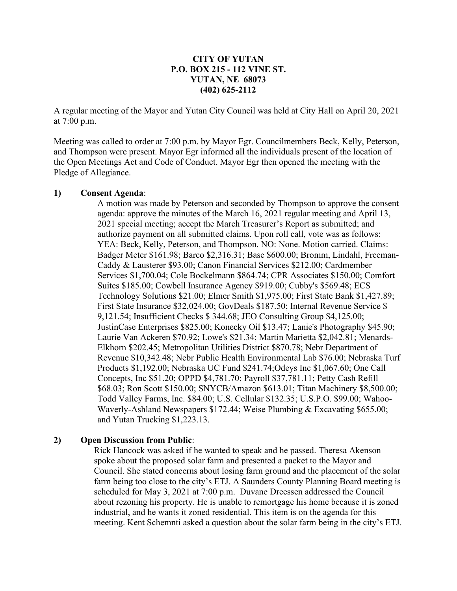### **CITY OF YUTAN P.O. BOX 215 - 112 VINE ST. YUTAN, NE 68073 (402) 625-2112**

A regular meeting of the Mayor and Yutan City Council was held at City Hall on April 20, 2021 at 7:00 p.m.

Meeting was called to order at 7:00 p.m. by Mayor Egr. Councilmembers Beck, Kelly, Peterson, and Thompson were present. Mayor Egr informed all the individuals present of the location of the Open Meetings Act and Code of Conduct. Mayor Egr then opened the meeting with the Pledge of Allegiance.

#### **1) Consent Agenda**:

A motion was made by Peterson and seconded by Thompson to approve the consent agenda: approve the minutes of the March 16, 2021 regular meeting and April 13, 2021 special meeting; accept the March Treasurer's Report as submitted; and authorize payment on all submitted claims. Upon roll call, vote was as follows: YEA: Beck, Kelly, Peterson, and Thompson. NO: None. Motion carried. Claims: Badger Meter \$161.98; Barco \$2,316.31; Base \$600.00; Bromm, Lindahl, Freeman-Caddy & Lausterer \$93.00; Canon Financial Services \$212.00; Cardmember Services \$1,700.04; Cole Bockelmann \$864.74; CPR Associates \$150.00; Comfort Suites \$185.00; Cowbell Insurance Agency \$919.00; Cubby's \$569.48; ECS Technology Solutions \$21.00; Elmer Smith \$1,975.00; First State Bank \$1,427.89; First State Insurance \$32,024.00; GovDeals \$187.50; Internal Revenue Service \$ 9,121.54; Insufficient Checks \$ 344.68; JEO Consulting Group \$4,125.00; JustinCase Enterprises \$825.00; Konecky Oil \$13.47; Lanie's Photography \$45.90; Laurie Van Ackeren \$70.92; Lowe's \$21.34; Martin Marietta \$2,042.81; Menards-Elkhorn \$202.45; Metropolitan Utilities District \$870.78; Nebr Department of Revenue \$10,342.48; Nebr Public Health Environmental Lab \$76.00; Nebraska Turf Products \$1,192.00; Nebraska UC Fund \$241.74;Odeys Inc \$1,067.60; One Call Concepts, Inc \$51.20; OPPD \$4,781.70; Payroll \$37,781.11; Petty Cash Refill \$68.03; Ron Scott \$150.00; SNYCB/Amazon \$613.01; Titan Machinery \$8,500.00; Todd Valley Farms, Inc. \$84.00; U.S. Cellular \$132.35; U.S.P.O. \$99.00; Wahoo-Waverly-Ashland Newspapers \$172.44; Weise Plumbing & Excavating \$655.00; and Yutan Trucking \$1,223.13.

### **2) Open Discussion from Public**:

Rick Hancock was asked if he wanted to speak and he passed. Theresa Akenson spoke about the proposed solar farm and presented a packet to the Mayor and Council. She stated concerns about losing farm ground and the placement of the solar farm being too close to the city's ETJ. A Saunders County Planning Board meeting is scheduled for May 3, 2021 at 7:00 p.m. Duvane Dreessen addressed the Council about rezoning his property. He is unable to remortgage his home because it is zoned industrial, and he wants it zoned residential. This item is on the agenda for this meeting. Kent Schemnti asked a question about the solar farm being in the city's ETJ.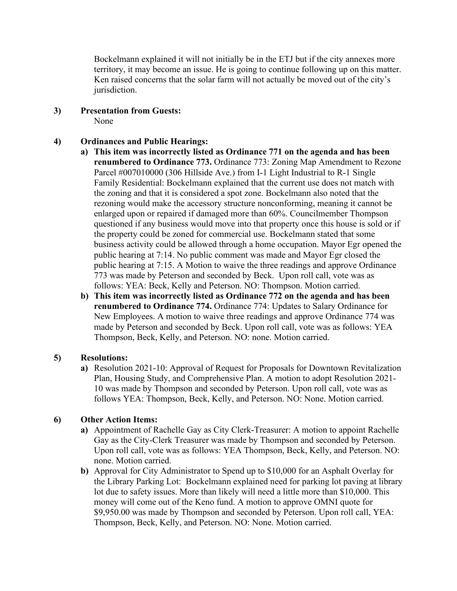Bockelmann explained it will not initially be in the ETJ but if the city annexes more territory, it may become an issue. He is going to continue following up on this matter. Ken raised concerns that the solar farm will not actually be moved out of the city's jurisdiction.

- **3) Presentation from Guests:** None
- **4) Ordinances and Public Hearings:**
	- **a) This item was incorrectly listed as Ordinance 771 on the agenda and has been renumbered to Ordinance 773.** Ordinance 773: Zoning Map Amendment to Rezone Parcel #007010000 (306 Hillside Ave.) from I-1 Light Industrial to R-1 Single Family Residential: Bockelmann explained that the current use does not match with the zoning and that it is considered a spot zone. Bockelmann also noted that the rezoning would make the accessory structure nonconforming, meaning it cannot be enlarged upon or repaired if damaged more than 60%. Councilmember Thompson questioned if any business would move into that property once this house is sold or if the property could be zoned for commercial use. Bockelmann stated that some business activity could be allowed through a home occupation. Mayor Egr opened the public hearing at 7:14. No public comment was made and Mayor Egr closed the public hearing at 7:15. A Motion to waive the three readings and approve Ordinance 773 was made by Peterson and seconded by Beck. Upon roll call, vote was as follows: YEA: Beck, Kelly and Peterson. NO: Thompson. Motion carried.
	- **b) This item was incorrectly listed as Ordinance 772 on the agenda and has been renumbered to Ordinance 774.** Ordinance 774: Updates to Salary Ordinance for New Employees. A motion to waive three readings and approve Ordinance 774 was made by Peterson and seconded by Beck. Upon roll call, vote was as follows: YEA Thompson, Beck, Kelly, and Peterson. NO: none. Motion carried.

### **5) Resolutions:**

**a)** Resolution 2021-10: Approval of Request for Proposals for Downtown Revitalization Plan, Housing Study, and Comprehensive Plan. A motion to adopt Resolution 2021- 10 was made by Thompson and seconded by Peterson. Upon roll call, vote was as follows YEA: Thompson, Beck, Kelly, and Peterson. NO: None. Motion carried.

### **6) Other Action Items:**

- **a)** Appointment of Rachelle Gay as City Clerk-Treasurer: A motion to appoint Rachelle Gay as the City-Clerk Treasurer was made by Thompson and seconded by Peterson. Upon roll call, vote was as follows: YEA Thompson, Beck, Kelly, and Peterson. NO: none. Motion carried.
- **b)** Approval for City Administrator to Spend up to \$10,000 for an Asphalt Overlay for the Library Parking Lot: Bockelmann explained need for parking lot paving at library lot due to safety issues. More than likely will need a little more than \$10,000. This money will come out of the Keno fund. A motion to approve OMNI quote for \$9,950.00 was made by Thompson and seconded by Peterson. Upon roll call, YEA: Thompson, Beck, Kelly, and Peterson. NO: None. Motion carried.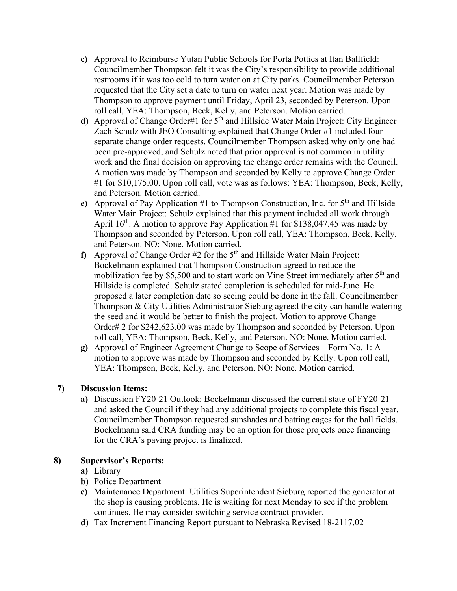- **c)** Approval to Reimburse Yutan Public Schools for Porta Potties at Itan Ballfield: Councilmember Thompson felt it was the City's responsibility to provide additional restrooms if it was too cold to turn water on at City parks. Councilmember Peterson requested that the City set a date to turn on water next year. Motion was made by Thompson to approve payment until Friday, April 23, seconded by Peterson. Upon roll call, YEA: Thompson, Beck, Kelly, and Peterson. Motion carried.
- **d**) Approval of Change Order#1 for 5<sup>th</sup> and Hillside Water Main Project: City Engineer Zach Schulz with JEO Consulting explained that Change Order #1 included four separate change order requests. Councilmember Thompson asked why only one had been pre-approved, and Schulz noted that prior approval is not common in utility work and the final decision on approving the change order remains with the Council. A motion was made by Thompson and seconded by Kelly to approve Change Order #1 for \$10,175.00. Upon roll call, vote was as follows: YEA: Thompson, Beck, Kelly, and Peterson. Motion carried.
- **e**) Approval of Pay Application #1 to Thompson Construction, Inc. for 5<sup>th</sup> and Hillside Water Main Project: Schulz explained that this payment included all work through April  $16^{th}$ . A motion to approve Pay Application #1 for \$138,047.45 was made by Thompson and seconded by Peterson. Upon roll call, YEA: Thompson, Beck, Kelly, and Peterson. NO: None. Motion carried.
- **f)** Approval of Change Order  $#2$  for the  $5<sup>th</sup>$  and Hillside Water Main Project: Bockelmann explained that Thompson Construction agreed to reduce the mobilization fee by \$5,500 and to start work on Vine Street immediately after 5<sup>th</sup> and Hillside is completed. Schulz stated completion is scheduled for mid-June. He proposed a later completion date so seeing could be done in the fall. Councilmember Thompson & City Utilities Administrator Sieburg agreed the city can handle watering the seed and it would be better to finish the project. Motion to approve Change Order# 2 for \$242,623.00 was made by Thompson and seconded by Peterson. Upon roll call, YEA: Thompson, Beck, Kelly, and Peterson. NO: None. Motion carried.
- **g)** Approval of Engineer Agreement Change to Scope of Services Form No. 1: A motion to approve was made by Thompson and seconded by Kelly. Upon roll call, YEA: Thompson, Beck, Kelly, and Peterson. NO: None. Motion carried.

### **7) Discussion Items:**

**a)** Discussion FY20-21 Outlook: Bockelmann discussed the current state of FY20-21 and asked the Council if they had any additional projects to complete this fiscal year. Councilmember Thompson requested sunshades and batting cages for the ball fields. Bockelmann said CRA funding may be an option for those projects once financing for the CRA's paving project is finalized.

### **8) Supervisor's Reports:**

- **a)** Library
- **b)** Police Department
- **c)** Maintenance Department: Utilities Superintendent Sieburg reported the generator at the shop is causing problems. He is waiting for next Monday to see if the problem continues. He may consider switching service contract provider.
- **d)** Tax Increment Financing Report pursuant to Nebraska Revised 18-2117.02